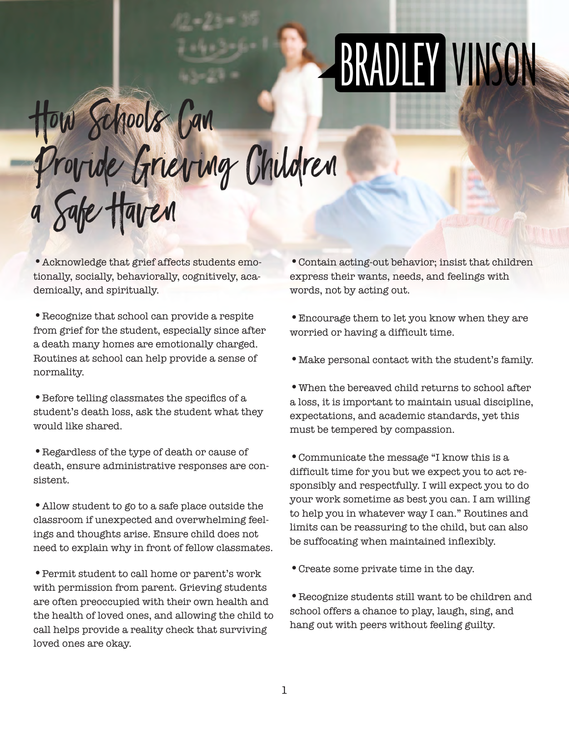## BRADLEY VINSON

## How Schools Can Provide Grieving Children a Safe Haven

•Acknowledge that grief affects students emotionally, socially, behaviorally, cognitively, academically, and spiritually.

•Recognize that school can provide a respite from grief for the student, especially since after a death many homes are emotionally charged. Routines at school can help provide a sense of normality.

•Before telling classmates the specifics of a student's death loss, ask the student what they would like shared.

•Regardless of the type of death or cause of death, ensure administrative responses are consistent.

•Allow student to go to a safe place outside the classroom if unexpected and overwhelming feelings and thoughts arise. Ensure child does not need to explain why in front of fellow classmates.

•Permit student to call home or parent's work with permission from parent. Grieving students are often preoccupied with their own health and the health of loved ones, and allowing the child to call helps provide a reality check that surviving loved ones are okay.

•Contain acting-out behavior; insist that children express their wants, needs, and feelings with words, not by acting out.

•Encourage them to let you know when they are worried or having a difficult time.

•Make personal contact with the student's family.

•When the bereaved child returns to school after a loss, it is important to maintain usual discipline, expectations, and academic standards, yet this must be tempered by compassion.

•Communicate the message "I know this is a difficult time for you but we expect you to act responsibly and respectfully. I will expect you to do your work sometime as best you can. I am willing to help you in whatever way I can." Routines and limits can be reassuring to the child, but can also be suffocating when maintained inflexibly.

•Create some private time in the day.

•Recognize students still want to be children and school offers a chance to play, laugh, sing, and hang out with peers without feeling guilty.